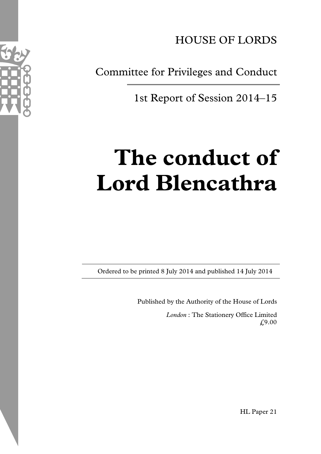

Committee for Privileges and Conduct

1st Report of Session 2014–15

# **The conduct of Lord Blencathra**

Ordered to be printed 8 July 2014 and published 14 July 2014

Published by the Authority of the House of Lords

*London* : The Stationery Office Limited £9.00



HL Paper 21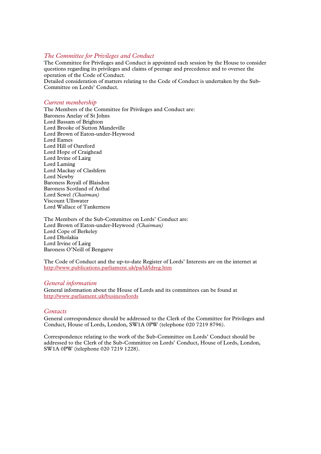#### *The Committee for Privileges and Conduct*

The Committee for Privileges and Conduct is appointed each session by the House to consider questions regarding its privileges and claims of peerage and precedence and to oversee the operation of the Code of Conduct.

Detailed consideration of matters relating to the Code of Conduct is undertaken by the Sub-Committee on Lords' Conduct.

#### *Current membership*

The Members of the Committee for Privileges and Conduct are: Baroness Anelay of St Johns Lord Bassam of Brighton Lord Brooke of Sutton Mandeville Lord Brown of Eaton-under-Heywood Lord Eames Lord Hill of Oareford Lord Hope of Craighead Lord Irvine of Lairg Lord Laming Lord Mackay of Clashfern Lord Newby Baroness Royall of Blaisdon Baroness Scotland of Asthal Lord Sewel *(Chairman)* Viscount Ullswater Lord Wallace of Tankerness

The Members of the Sub-Committee on Lords' Conduct are: Lord Brown of Eaton-under-Heywood *(Chairman)* Lord Cope of Berkeley Lord Dholakia Lord Irvine of Lairg Baroness O'Neill of Bengarve

The Code of Conduct and the up-to-date Register of Lords' Interests are on the internet at http://www.publications.parliament.uk/pa/ld/ldreg.htm

#### *General information*

General information about the House of Lords and its committees can be found at http://www.parliament.uk/business/lords

#### *Contacts*

General correspondence should be addressed to the Clerk of the Committee for Privileges and Conduct, House of Lords, London, SW1A 0PW (telephone 020 7219 8796).

Correspondence relating to the work of the Sub-Committee on Lords' Conduct should be addressed to the Clerk of the Sub-Committee on Lords' Conduct, House of Lords, London, SW1A 0PW (telephone 020 7219 1228).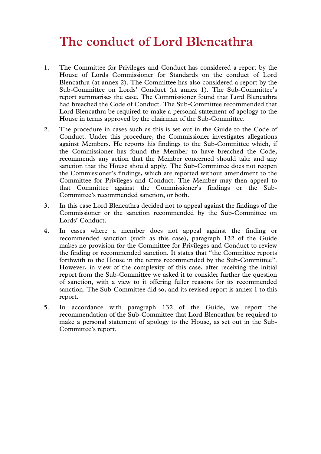# **The conduct of Lord Blencathra**

- 1. The Committee for Privileges and Conduct has considered a report by the House of Lords Commissioner for Standards on the conduct of Lord Blencathra (at annex 2). The Committee has also considered a report by the Sub-Committee on Lords' Conduct (at annex 1). The Sub-Committee's report summarises the case. The Commissioner found that Lord Blencathra had breached the Code of Conduct. The Sub-Committee recommended that Lord Blencathra be required to make a personal statement of apology to the House in terms approved by the chairman of the Sub-Committee.
- 2. The procedure in cases such as this is set out in the Guide to the Code of Conduct. Under this procedure, the Commissioner investigates allegations against Members. He reports his findings to the Sub-Committee which, if the Commissioner has found the Member to have breached the Code, recommends any action that the Member concerned should take and any sanction that the House should apply. The Sub-Committee does not reopen the Commissioner's findings, which are reported without amendment to the Committee for Privileges and Conduct. The Member may then appeal to that Committee against the Commissioner's findings or the Sub-Committee's recommended sanction, or both.
- 3. In this case Lord Blencathra decided not to appeal against the findings of the Commissioner or the sanction recommended by the Sub-Committee on Lords' Conduct.
- 4. In cases where a member does not appeal against the finding or recommended sanction (such as this case), paragraph 132 of the Guide makes no provision for the Committee for Privileges and Conduct to review the finding or recommended sanction. It states that "the Committee reports forthwith to the House in the terms recommended by the Sub-Committee". However, in view of the complexity of this case, after receiving the initial report from the Sub-Committee we asked it to consider further the question of sanction, with a view to it offering fuller reasons for its recommended sanction. The Sub-Committee did so, and its revised report is annex 1 to this report.
- 5. In accordance with paragraph 132 of the Guide, we report the recommendation of the Sub-Committee that Lord Blencathra be required to make a personal statement of apology to the House, as set out in the Sub-Committee's report.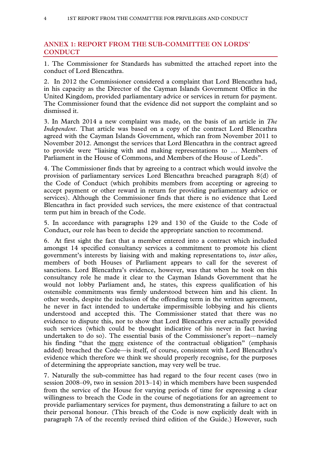# **ANNEX 1: REPORT FROM THE SUB-COMMITTEE ON LORDS' CONDUCT**

1. The Commissioner for Standards has submitted the attached report into the conduct of Lord Blencathra.

2. In 2012 the Commissioner considered a complaint that Lord Blencathra had, in his capacity as the Director of the Cayman Islands Government Office in the United Kingdom, provided parliamentary advice or services in return for payment. The Commissioner found that the evidence did not support the complaint and so dismissed it.

3. In March 2014 a new complaint was made, on the basis of an article in *The Independent*. That article was based on a copy of the contract Lord Blencathra agreed with the Cayman Islands Government, which ran from November 2011 to November 2012. Amongst the services that Lord Blencathra in the contract agreed to provide were "liaising with and making representations to … Members of Parliament in the House of Commons, and Members of the House of Lords".

4. The Commissioner finds that by agreeing to a contract which would involve the provision of parliamentary services Lord Blencathra breached paragraph 8(d) of the Code of Conduct (which prohibits members from accepting or agreeing to accept payment or other reward in return for providing parliamentary advice or services). Although the Commissioner finds that there is no evidence that Lord Blencathra in fact provided such services, the mere existence of that contractual term put him in breach of the Code.

5. In accordance with paragraphs 129 and 130 of the Guide to the Code of Conduct, our role has been to decide the appropriate sanction to recommend.

6. At first sight the fact that a member entered into a contract which included amongst 14 specified consultancy services a commitment to promote his client government's interests by liaising with and making representations to, *inter alios*, members of both Houses of Parliament appears to call for the severest of sanctions. Lord Blencathra's evidence, however, was that when he took on this consultancy role he made it clear to the Cayman Islands Government that he would not lobby Parliament and, he states, this express qualification of his ostensible commitments was firmly understood between him and his client. In other words, despite the inclusion of the offending term in the written agreement, he never in fact intended to undertake impermissible lobbying and his clients understood and accepted this. The Commissioner stated that there was no evidence to dispute this, nor to show that Lord Blencathra ever actually provided such services (which could be thought indicative of his never in fact having undertaken to do so). The essential basis of the Commissioner's report—namely his finding "that the mere existence of the contractual obligation" (emphasis added) breached the Code—is itself, of course, consistent with Lord Blencathra's evidence which therefore we think we should properly recognise, for the purposes of determining the appropriate sanction, may very well be true.

7. Naturally the sub-committee has had regard to the four recent cases (two in session 2008–09, two in session 2013–14) in which members have been suspended from the service of the House for varying periods of time for expressing a clear willingness to breach the Code in the course of negotiations for an agreement to provide parliamentary services for payment, thus demonstrating a failure to act on their personal honour. (This breach of the Code is now explicitly dealt with in paragraph 7A of the recently revised third edition of the Guide.) However, such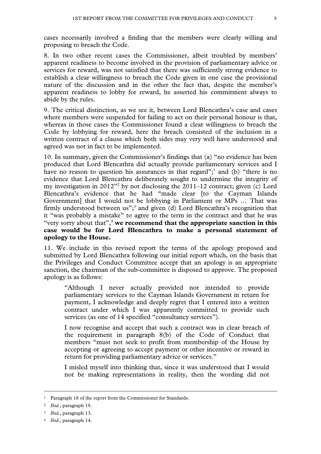cases necessarily involved a finding that the members were clearly willing and proposing to breach the Code.

8. In two other recent cases the Commissioner, albeit troubled by members' apparent readiness to become involved in the provision of parliamentary advice or services for reward, was not satisfied that there was sufficiently strong evidence to establish a clear willingness to breach the Code given in one case the provisional nature of the discussion and in the other the fact that, despite the member's apparent readiness to lobby for reward, he asserted his commitment always to abide by the rules.

9. The critical distinction, as we see it, between Lord Blencathra's case and cases where members were suspended for failing to act on their personal honour is that, whereas in those cases the Commissioner found a clear willingness to breach the Code by lobbying for reward, here the breach consisted of the inclusion in a written contract of a clause which both sides may very well have understood and agreed was not in fact to be implemented.

10. In summary, given the Commissioner's findings that (a) "no evidence has been produced that Lord Blencathra did actually provide parliamentary services and I have no reason to question his assurances in that regard";<sup>1</sup> and (b) "there is no evidence that Lord Blencathra deliberately sought to undermine the integrity of my investigation in  $2012^{\prime\prime}$  by not disclosing the  $2011-12$  contract; given (c) Lord Blencathra's evidence that he had "made clear [to the Cayman Islands Government] that I would not be lobbying in Parliament or MPs … That was firmly understood between  $us$ ";<sup>3</sup> and given (d) Lord Blencathra's recognition that it "was probably a mistake" to agree to the term in the contract and that he was "very sorry about that",4 **we recommend that the appropriate sanction in this case would be for Lord Blencathra to make a personal statement of apology to the House.** 

11. We include in this revised report the terms of the apology proposed and submitted by Lord Blencathra following our initial report which, on the basis that the Privileges and Conduct Committee accept that an apology is an appropriate sanction, the chairman of the sub-committee is disposed to approve. The proposed apology is as follows:

"Although I never actually provided nor intended to provide parliamentary services to the Cayman Islands Government in return for payment, I acknowledge and deeply regret that I entered into a written contract under which I was apparently committed to provide such services (as one of 14 specified "consultancy services").

I now recognise and accept that such a contract was in clear breach of the requirement in paragraph 8(b) of the Code of Conduct that members "must not seek to profit from membership of the House by accepting or agreeing to accept payment or other incentive or reward in return for providing parliamentary advice or services."

I misled myself into thinking that, since it was understood that I would not be making representations in reality, then the wording did not

-

<sup>&</sup>lt;sup>1</sup> Paragraph 18 of the report from the Commissioner for Standards.

<sup>2</sup> *Ibid.*, paragraph 19.

<sup>3</sup> *Ibid.*, paragraph 13.

<sup>4</sup> *Ibid.*, paragraph 14.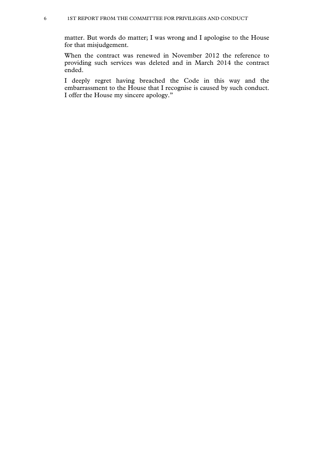matter. But words do matter; I was wrong and I apologise to the House for that misjudgement.

When the contract was renewed in November 2012 the reference to providing such services was deleted and in March 2014 the contract ended.

I deeply regret having breached the Code in this way and the embarrassment to the House that I recognise is caused by such conduct. I offer the House my sincere apology."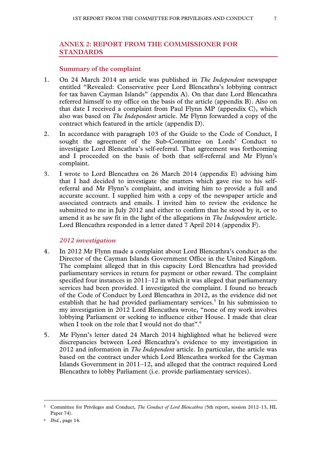# **ANNEX 2: REPORT FROM THE COMMISSIONER FOR STANDARDS**

#### **Summary of the complaint**

- 1. On 24 March 2014 an article was published in *The Independent* newspaper entitled "Revealed: Conservative peer Lord Blencathra's lobbying contract for tax haven Cayman Islands" (appendix A). On that date Lord Blencathra referred himself to my office on the basis of the article (appendix B). Also on that date I received a complaint from Paul Flynn MP (appendix C), which also was based on *The Independent* article. Mr Flynn forwarded a copy of the contract which featured in the article (appendix D).
- 2. In accordance with paragraph 103 of the Guide to the Code of Conduct, I sought the agreement of the Sub-Committee on Lords' Conduct to investigate Lord Blencathra's self-referral. That agreement was forthcoming and I proceeded on the basis of both that self-referral and Mr Flynn's complaint.
- 3. I wrote to Lord Blencathra on 26 March 2014 (appendix E) advising him that I had decided to investigate the matters which gave rise to his selfreferral and Mr Flynn's complaint, and inviting him to provide a full and accurate account. I supplied him with a copy of the newspaper article and associated contracts and emails. I invited him to review the evidence he submitted to me in July 2012 and either to confirm that he stood by it, or to amend it as he saw fit in the light of the allegations in *The Independent* article. Lord Blencathra responded in a letter dated 7 April 2014 (appendix F).

#### *2012 investigation*

- 4. In 2012 Mr Flynn made a complaint about Lord Blencathra's conduct as the Director of the Cayman Islands Government Office in the United Kingdom. The complaint alleged that in this capacity Lord Blencathra had provided parliamentary services in return for payment or other reward. The complaint specified four instances in 2011–12 in which it was alleged that parliamentary services had been provided. I investigated the complaint. I found no breach of the Code of Conduct by Lord Blencathra in 2012, as the evidence did not establish that he had provided parliamentary services.<sup>5</sup> In his submission to my investigation in 2012 Lord Blencathra wrote, "none of my work involves lobbying Parliament or seeking to influence either House. I made that clear when I took on the role that I would not do that".<sup>6</sup>
- 5. Mr Flynn's letter dated 24 March 2014 highlighted what he believed were discrepancies between Lord Blencathra's evidence to my investigation in 2012 and information in *The Independent* article. In particular, the article was based on the contract under which Lord Blencathra worked for the Cayman Islands Government in 2011–12, and alleged that the contract required Lord Blencathra to lobby Parliament (i.e. provide parliamentary services).

-

<sup>5</sup> Committee for Privileges and Conduct, *The Conduct of Lord Blencathra* (5th report, session 2012–13, HL Paper 74).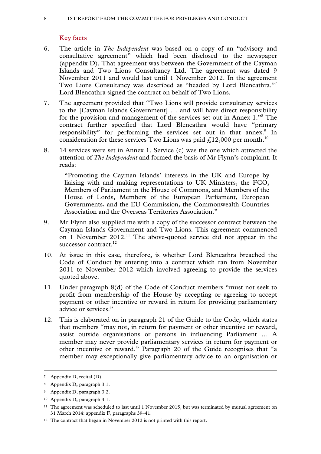# **Key facts**

- 6. The article in *The Independent* was based on a copy of an "advisory and consultative agreement" which had been disclosed to the newspaper (appendix D). That agreement was between the Government of the Cayman Islands and Two Lions Consultancy Ltd. The agreement was dated 9 November 2011 and would last until 1 November 2012. In the agreement Two Lions Consultancy was described as "headed by Lord Blencathra."<sup>7</sup> Lord Blencathra signed the contract on behalf of Two Lions.
- 7. The agreement provided that "Two Lions will provide consultancy services to the [Cayman Islands Government] … and will have direct responsibility for the provision and management of the services set out in Annex 1."8 The contract further specified that Lord Blencathra would have "primary responsibility" for performing the services set out in that annex.<sup>9</sup> In consideration for these services Two Lions was paid  $f_{1,12,000}$  per month.<sup>10</sup>
- 8. 14 services were set in Annex 1. Service (c) was the one which attracted the attention of *The Independent* and formed the basis of Mr Flynn's complaint. It reads:

"Promoting the Cayman Islands' interests in the UK and Europe by liaising with and making representations to UK Ministers, the FCO, Members of Parliament in the House of Commons, and Members of the House of Lords, Members of the European Parliament, European Governments, and the EU Commission, the Commonwealth Countries Association and the Overseas Territories Association."

- 9. Mr Flynn also supplied me with a copy of the successor contract between the Cayman Islands Government and Two Lions. This agreement commenced on 1 November 2012.<sup>11</sup> The above-quoted service did not appear in the successor contract.<sup>12</sup>
- 10. At issue in this case, therefore, is whether Lord Blencathra breached the Code of Conduct by entering into a contract which ran from November 2011 to November 2012 which involved agreeing to provide the services quoted above.
- 11. Under paragraph 8(d) of the Code of Conduct members "must not seek to profit from membership of the House by accepting or agreeing to accept payment or other incentive or reward in return for providing parliamentary advice or services."
- 12. This is elaborated on in paragraph 21 of the Guide to the Code, which states that members "may not, in return for payment or other incentive or reward, assist outside organisations or persons in influencing Parliament … A member may never provide parliamentary services in return for payment or other incentive or reward." Paragraph 20 of the Guide recognises that "a member may exceptionally give parliamentary advice to an organisation or

 <sup>7</sup> Appendix D, recital (D).

<sup>8</sup> Appendix D, paragraph 3.1.

<sup>9</sup> Appendix D, paragraph 3.2.

<sup>10</sup> Appendix D, paragraph 4.1.

<sup>11</sup> The agreement was scheduled to last until 1 November 2015, but was terminated by mutual agreement on 31 March 2014: appendix F, paragraphs 39–41.

<sup>&</sup>lt;sup>12</sup> The contract that began in November 2012 is not printed with this report.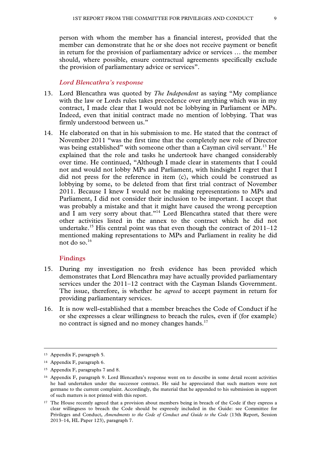person with whom the member has a financial interest, provided that the member can demonstrate that he or she does not receive payment or benefit in return for the provision of parliamentary advice or services … the member should, where possible, ensure contractual agreements specifically exclude the provision of parliamentary advice or services".

#### *Lord Blencathra's response*

- 13. Lord Blencathra was quoted by *The Independent* as saying "My compliance with the law or Lords rules takes precedence over anything which was in my contract, I made clear that I would not be lobbying in Parliament or MPs. Indeed, even that initial contract made no mention of lobbying. That was firmly understood between us."
- 14. He elaborated on that in his submission to me. He stated that the contract of November 2011 "was the first time that the completely new role of Director was being established" with someone other than a Cayman civil servant.<sup>13</sup> He explained that the role and tasks he undertook have changed considerably over time. He continued, "Although I made clear in statements that I could not and would not lobby MPs and Parliament, with hindsight I regret that I did not press for the reference in item (c), which could be construed as lobbying by some, to be deleted from that first trial contract of November 2011. Because I knew I would not be making representations to MPs and Parliament, I did not consider their inclusion to be important. I accept that was probably a mistake and that it might have caused the wrong perception and I am very sorry about that."<sup>14</sup> Lord Blencathra stated that there were other activities listed in the annex to the contract which he did not undertake.<sup>15</sup> His central point was that even though the contract of  $2011-12$ mentioned making representations to MPs and Parliament in reality he did not do so.<sup>16</sup>

#### **Findings**

- 15. During my investigation no fresh evidence has been provided which demonstrates that Lord Blencathra may have actually provided parliamentary services under the 2011–12 contract with the Cayman Islands Government. The issue, therefore, is whether he *agreed* to accept payment in return for providing parliamentary services.
- 16. It is now well-established that a member breaches the Code of Conduct if he or she expresses a clear willingness to breach the rules, even if (for example) no contract is signed and no money changes hands.<sup>17</sup>

-

<sup>13</sup> Appendix F, paragraph 5.

<sup>14</sup> Appendix F, paragraph 6.

<sup>15</sup> Appendix F, paragraphs 7 and 8.

<sup>16</sup> Appendix F, paragraph 9. Lord Blencathra's response went on to describe in some detail recent activities he had undertaken under the successor contract. He said he appreciated that such matters were not germane to the current complaint. Accordingly, the material that he appended to his submission in support of such matters is not printed with this report.

<sup>&</sup>lt;sup>17</sup> The House recently agreed that a provision about members being in breach of the Code if they express a clear willingness to breach the Code should be expressly included in the Guide: see Committee for Privileges and Conduct, *Amendments to the Code of Conduct and Guide to the Code* (13th Report, Session 2013–14, HL Paper 123), paragraph 7.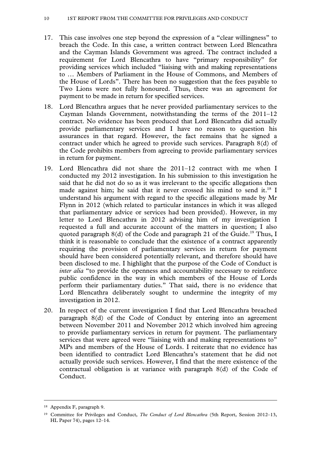- 17. This case involves one step beyond the expression of a "clear willingness" to breach the Code. In this case, a written contract between Lord Blencathra and the Cayman Islands Government was agreed. The contract included a requirement for Lord Blencathra to have "primary responsibility" for providing services which included "liaising with and making representations to … Members of Parliament in the House of Commons, and Members of the House of Lords". There has been no suggestion that the fees payable to Two Lions were not fully honoured. Thus, there was an agreement for payment to be made in return for specified services.
- 18. Lord Blencathra argues that he never provided parliamentary services to the Cayman Islands Government, notwithstanding the terms of the 2011–12 contract. No evidence has been produced that Lord Blencathra did actually provide parliamentary services and I have no reason to question his assurances in that regard. However, the fact remains that he signed a contract under which he agreed to provide such services. Paragraph 8(d) of the Code prohibits members from agreeing to provide parliamentary services in return for payment.
- 19. Lord Blencathra did not share the 2011–12 contract with me when I conducted my 2012 investigation. In his submission to this investigation he said that he did not do so as it was irrelevant to the specific allegations then made against him; he said that it never crossed his mind to send it.<sup>18</sup> I understand his argument with regard to the specific allegations made by Mr Flynn in 2012 (which related to particular instances in which it was alleged that parliamentary advice or services had been provided). However, in my letter to Lord Blencathra in 2012 advising him of my investigation I requested a full and accurate account of the matters in question; I also quoted paragraph 8(d) of the Code and paragraph 21 of the Guide.<sup>19</sup> Thus, I think it is reasonable to conclude that the existence of a contract apparently requiring the provision of parliamentary services in return for payment should have been considered potentially relevant, and therefore should have been disclosed to me. I highlight that the purpose of the Code of Conduct is *inter alia* "to provide the openness and accountability necessary to reinforce public confidence in the way in which members of the House of Lords perform their parliamentary duties." That said, there is no evidence that Lord Blencathra deliberately sought to undermine the integrity of my investigation in 2012.
- 20. In respect of the current investigation I find that Lord Blencathra breached paragraph 8(d) of the Code of Conduct by entering into an agreement between November 2011 and November 2012 which involved him agreeing to provide parliamentary services in return for payment. The parliamentary services that were agreed were "liaising with and making representations to" MPs and members of the House of Lords. I reiterate that no evidence has been identified to contradict Lord Blencathra's statement that he did not actually provide such services. However, I find that the mere existence of the contractual obligation is at variance with paragraph 8(d) of the Code of Conduct.

-

<sup>18</sup> Appendix F, paragraph 9.

<sup>19</sup> Committee for Privileges and Conduct, *The Conduct of Lord Blencathra* (5th Report, Session 2012–13, HL Paper 74), pages 12–14.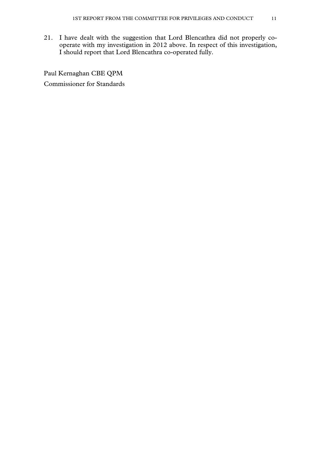21. I have dealt with the suggestion that Lord Blencathra did not properly cooperate with my investigation in 2012 above. In respect of this investigation, I should report that Lord Blencathra co-operated fully.

Paul Kernaghan CBE QPM Commissioner for Standards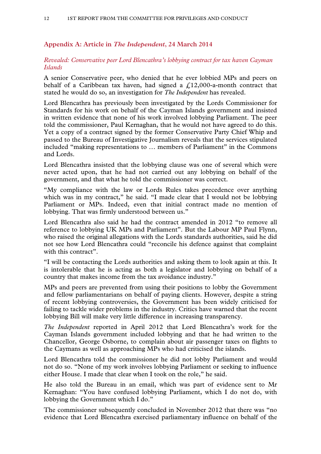# **Appendix A: Article in** *The Independent***, 24 March 2014**

#### *Revealed: Conservative peer Lord Blencathra's lobbying contract for tax haven Cayman Islands*

A senior Conservative peer, who denied that he ever lobbied MPs and peers on behalf of a Caribbean tax haven, had signed a  $\text{\textsterling}12,000$ -a-month contract that stated he would do so, an investigation for *The Independent* has revealed.

Lord Blencathra has previously been investigated by the Lords Commissioner for Standards for his work on behalf of the Cayman Islands government and insisted in written evidence that none of his work involved lobbying Parliament. The peer told the commissioner, Paul Kernaghan, that he would not have agreed to do this. Yet a copy of a contract signed by the former Conservative Party Chief Whip and passed to the Bureau of Investigative Journalism reveals that the services stipulated included "making representations to … members of Parliament" in the Commons and Lords.

Lord Blencathra insisted that the lobbying clause was one of several which were never acted upon, that he had not carried out any lobbying on behalf of the government, and that what he told the commissioner was correct.

"My compliance with the law or Lords Rules takes precedence over anything which was in my contract," he said. "I made clear that I would not be lobbying Parliament or MPs. Indeed, even that initial contract made no mention of lobbying. That was firmly understood between us."

Lord Blencathra also said he had the contract amended in 2012 "to remove all reference to lobbying UK MPs and Parliament". But the Labour MP Paul Flynn, who raised the original allegations with the Lords standards authorities, said he did not see how Lord Blencathra could "reconcile his defence against that complaint with this contract".

"I will be contacting the Lords authorities and asking them to look again at this. It is intolerable that he is acting as both a legislator and lobbying on behalf of a country that makes income from the tax avoidance industry."

MPs and peers are prevented from using their positions to lobby the Government and fellow parliamentarians on behalf of paying clients. However, despite a string of recent lobbying controversies, the Government has been widely criticised for failing to tackle wider problems in the industry. Critics have warned that the recent lobbying Bill will make very little difference in increasing transparency.

*The Independent* reported in April 2012 that Lord Blencathra's work for the Cayman Islands government included lobbying and that he had written to the Chancellor, George Osborne, to complain about air passenger taxes on flights to the Caymans as well as approaching MPs who had criticised the islands.

Lord Blencathra told the commissioner he did not lobby Parliament and would not do so. "None of my work involves lobbying Parliament or seeking to influence either House. I made that clear when I took on the role," he said.

He also told the Bureau in an email, which was part of evidence sent to Mr Kernaghan: "You have confused lobbying Parliament, which I do not do, with lobbying the Government which I do."

The commissioner subsequently concluded in November 2012 that there was "no evidence that Lord Blencathra exercised parliamentary influence on behalf of the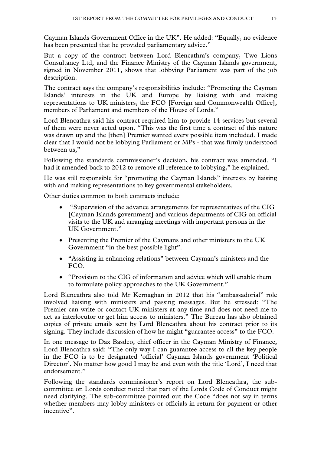Cayman Islands Government Office in the UK". He added: "Equally, no evidence has been presented that he provided parliamentary advice."

But a copy of the contract between Lord Blencathra's company, Two Lions Consultancy Ltd, and the Finance Ministry of the Cayman Islands government, signed in November 2011, shows that lobbying Parliament was part of the job description.

The contract says the company's responsibilities include: "Promoting the Cayman Islands' interests in the UK and Europe by liaising with and making representations to UK ministers, the FCO [Foreign and Commonwealth Office], members of Parliament and members of the House of Lords."

Lord Blencathra said his contract required him to provide 14 services but several of them were never acted upon. "This was the first time a contract of this nature was drawn up and the [then] Premier wanted every possible item included. I made clear that I would not be lobbying Parliament or MPs - that was firmly understood between us,"

Following the standards commissioner's decision, his contract was amended. "I had it amended back to 2012 to remove all reference to lobbying," he explained.

He was still responsible for "promoting the Cayman Islands" interests by liaising with and making representations to key governmental stakeholders.

Other duties common to both contracts include:

- "Supervision of the advance arrangements for representatives of the CIG [Cayman Islands government] and various departments of CIG on official visits to the UK and arranging meetings with important persons in the UK Government."
- Presenting the Premier of the Caymans and other ministers to the UK Government "in the best possible light".
- "Assisting in enhancing relations" between Cayman's ministers and the FCO.
- "Provision to the CIG of information and advice which will enable them to formulate policy approaches to the UK Government."

Lord Blencathra also told Mr Kernaghan in 2012 that his "ambassadorial" role involved liaising with ministers and passing messages. But he stressed: "The Premier can write or contact UK ministers at any time and does not need me to act as interlocutor or get him access to ministers." The Bureau has also obtained copies of private emails sent by Lord Blencathra about his contract prior to its signing. They include discussion of how he might "guarantee access" to the FCO.

In one message to Dax Basdeo, chief officer in the Cayman Ministry of Finance, Lord Blencathra said: "The only way I can guarantee access to all the key people in the FCO is to be designated 'official' Cayman Islands government 'Political Director'. No matter how good I may be and even with the title 'Lord', I need that endorsement."

Following the standards commissioner's report on Lord Blencathra, the subcommittee on Lords conduct noted that part of the Lords Code of Conduct might need clarifying. The sub-committee pointed out the Code "does not say in terms whether members may lobby ministers or officials in return for payment or other incentive".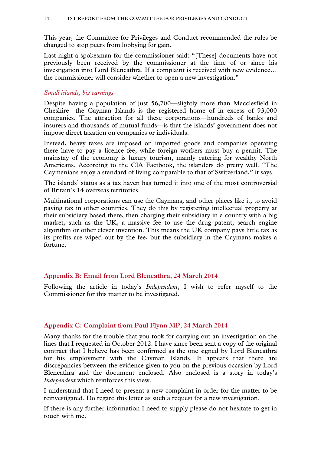This year, the Committee for Privileges and Conduct recommended the rules be changed to stop peers from lobbying for gain.

Last night a spokesman for the commissioner said: "[These] documents have not previously been received by the commissioner at the time of or since his investigation into Lord Blencathra. If a complaint is received with new evidence… the commissioner will consider whether to open a new investigation."

#### *Small islands, big earnings*

Despite having a population of just 56,700—slightly more than Macclesfield in Cheshire—the Cayman Islands is the registered home of in excess of 93,000 companies. The attraction for all these corporations—hundreds of banks and insurers and thousands of mutual funds—is that the islands' government does not impose direct taxation on companies or individuals.

Instead, heavy taxes are imposed on imported goods and companies operating there have to pay a licence fee, while foreign workers must buy a permit. The mainstay of the economy is luxury tourism, mainly catering for wealthy North Americans. According to the CIA Factbook, the islanders do pretty well. "The Caymanians enjoy a standard of living comparable to that of Switzerland," it says.

The islands' status as a tax haven has turned it into one of the most controversial of Britain's 14 overseas territories.

Multinational corporations can use the Caymans, and other places like it, to avoid paying tax in other countries. They do this by registering intellectual property at their subsidiary based there, then charging their subsidiary in a country with a big market, such as the UK, a massive fee to use the drug patent, search engine algorithm or other clever invention. This means the UK company pays little tax as its profits are wiped out by the fee, but the subsidiary in the Caymans makes a fortune.

#### **Appendix B: Email from Lord Blencathra, 24 March 2014**

Following the article in today's *Independent*, I wish to refer myself to the Commissioner for this matter to be investigated.

#### **Appendix C: Complaint from Paul Flynn MP, 24 March 2014**

Many thanks for the trouble that you took for carrying out an investigation on the lines that I requested in October 2012. I have since been sent a copy of the original contract that I believe has been confirmed as the one signed by Lord Blencathra for his employment with the Cayman Islands. It appears that there are discrepancies between the evidence given to you on the previous occasion by Lord Blencathra and the document enclosed. Also enclosed is a story in today's *Independent* which reinforces this view.

I understand that I need to present a new complaint in order for the matter to be reinvestigated. Do regard this letter as such a request for a new investigation.

If there is any further information I need to supply please do not hesitate to get in touch with me.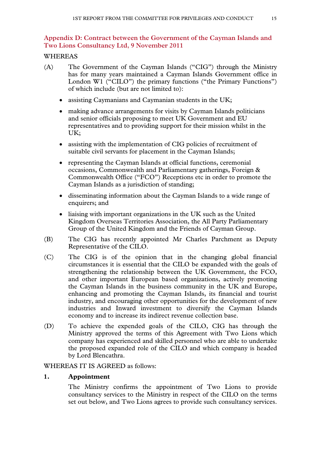# **Appendix D: Contract between the Government of the Cayman Islands and Two Lions Consultancy Ltd, 9 November 2011**

# WHEREAS

- (A) The Government of the Cayman Islands ("CIG") through the Ministry has for many years maintained a Cayman Islands Government office in London W1 ("CILO") the primary functions ("the Primary Functions") of which include (but are not limited to):
	- assisting Caymanians and Caymanian students in the UK;
	- making advance arrangements for visits by Cayman Islands politicians and senior officials proposing to meet UK Government and EU representatives and to providing support for their mission whilst in the UK;
	- assisting with the implementation of CIG policies of recruitment of suitable civil servants for placement in the Cayman Islands;
	- representing the Cayman Islands at official functions, ceremonial occasions, Commonwealth and Parliamentary gatherings, Foreign & Commonwealth Office ("FCO") Receptions etc in order to promote the Cayman Islands as a jurisdiction of standing;
	- disseminating information about the Cayman Islands to a wide range of enquirers; and
	- liaising with important organizations in the UK such as the United Kingdom Overseas Territories Association, the All Party Parliamentary Group of the United Kingdom and the Friends of Cayman Group.
- (B) The CIG has recently appointed Mr Charles Parchment as Deputy Representative of the CILO.
- (C) The CIG is of the opinion that in the changing global financial circumstances it is essential that the CILO be expanded with the goals of strengthening the relationship between the UK Government, the FCO, and other important European based organizations, actively promoting the Cayman Islands in the business community in the UK and Europe, enhancing and promoting the Cayman Islands, its financial and tourist industry, and encouraging other opportunities for the development of new industries and Inward investment to diversify the Cayman Islands economy and to increase its indirect revenue collection base.
- (D) To achieve the expended goals of the CILO, CIG has through the Ministry approved the terms of this Agreement with Two Lions which company has experienced and skilled personnel who are able to undertake the proposed expanded role of the CILO and which company is headed by Lord Blencathra.

#### WHEREAS IT IS AGREED as follows:

#### **1. Appointment**

The Ministry confirms the appointment of Two Lions to provide consultancy services to the Ministry in respect of the CILO on the terms set out below, and Two Lions agrees to provide such consultancy services.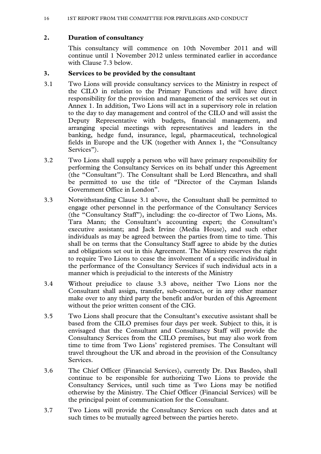#### 16 1ST REPORT FROM THE COMMITTEE FOR PRIVILEGES AND CONDUCT

## **2. Duration of consultancy**

This consultancy will commence on 10th November 2011 and will continue until 1 November 2012 unless terminated earlier in accordance with Clause 7.3 below.

#### **3. Services to be provided by the consultant**

- 3.1 Two Lions will provide consultancy services to the Ministry in respect of the CILO in relation to the Primary Functions and will have direct responsibility for the provision and management of the services set out in Annex 1. In addition, Two Lions will act in a supervisory role in relation to the day to day management and control of the CILO and will assist the Deputy Representative with budgets, financial management, and arranging special meetings with representatives and leaders in the banking, hedge fund, insurance, legal, pharmaceutical, technological fields in Europe and the UK (together with Annex 1, the "Consultancy Services").
- 3.2 Two Lions shall supply a person who will have primary responsibility for performing the Consultancy Services on its behalf under this Agreement (the "Consultant"). The Consultant shall be Lord Blencathra, and shall be permitted to use the title of "Director of the Cayman Islands Government Office in London".
- 3.3 Notwithstanding Clause 3.1 above, the Consultant shall be permitted to engage other personnel in the performance of the Consultancy Services (the "Consultancy Staff"), including: the co-director of Two Lions, Ms. Tara Mann; the Consultant's accounting expert; the Consultant's executive assistant; and Jack Irvine (Media House), and such other individuals as may be agreed between the parties from time to time. This shall be on terms that the Consultancy Staff agree to abide by the duties and obligations set out in this Agreement. The Ministry reserves the right to require Two Lions to cease the involvement of a specific individual in the performance of the Consultancy Services if such individual acts in a manner which is prejudicial to the interests of the Ministry
- 3.4 Without prejudice to clause 3.3 above, neither Two Lions nor the Consultant shall assign, transfer, sub-contract, or in any other manner make over to any third party the benefit and/or burden of this Agreement without the prior written consent of the CIG.
- 3.5 Two Lions shall procure that the Consultant's executive assistant shall be based from the CILO premises four days per week. Subject to this, it is envisaged that the Consultant and Consultancy Staff will provide the Consultancy Services from the CILO premises, but may also work from time to time from Two Lions' registered premises. The Consultant will travel throughout the UK and abroad in the provision of the Consultancy Services.
- 3.6 The Chief Officer (Financial Services), currently Dr. Dax Basdeo, shall continue to be responsible for authorizing Two Lions to provide the Consultancy Services, until such time as Two Lions may be notified otherwise by the Ministry. The Chief Officer (Financial Services) will be the principal point of communication for the Consultant.
- 3.7 Two Lions will provide the Consultancy Services on such dates and at such times to be mutually agreed between the parties hereto.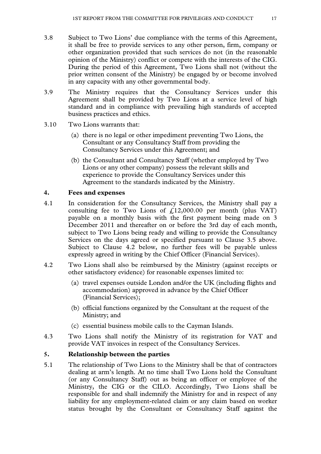- 3.8 Subject to Two Lions' due compliance with the terms of this Agreement, it shall be free to provide services to any other person, firm, company or other organization provided that such services do not (in the reasonable opinion of the Ministry) conflict or compete with the interests of the CIG. During the period of this Agreement, Two Lions shall not (without the prior written consent of the Ministry) be engaged by or become involved in any capacity with any other governmental body.
- 3.9 The Ministry requires that the Consultancy Services under this Agreement shall be provided by Two Lions at a service level of high standard and in compliance with prevailing high standards of accepted business practices and ethics.
- 3.10 Two Lions warrants that:
	- (a) there is no legal or other impediment preventing Two Lions, the Consultant or any Consultancy Staff from providing the Consultancy Services under this Agreement; and
	- (b) the Consultant and Consultancy Staff (whether employed by Two Lions or any other company) possess the relevant skills and experience to provide the Consultancy Services under this Agreement to the standards indicated by the Ministry.

#### **4. Fees and expenses**

- 4.1 In consideration for the Consultancy Services, the Ministry shall pay a consulting fee to Two Lions of  $\text{\textsterling}12,000.00$  per month (plus VAT) payable on a monthly basis with the first payment being made on 3 December 2011 and thereafter on or before the 3rd day of each month, subject to Two Lions being ready and willing to provide the Consultancy Services on the days agreed or specified pursuant to Clause 3.5 above. Subject to Clause 4.2 below, no further fees will be payable unless expressly agreed in writing by the Chief Officer (Financial Services).
- 4.2 Two Lions shall also be reimbursed by the Ministry (against receipts or other satisfactory evidence) for reasonable expenses limited to:
	- (a) travel expenses outside London and/or the UK (including flights and accommodation) approved in advance by the Chief Officer (Financial Services);
	- (b) official functions organized by the Consultant at the request of the Ministry; and
	- (c) essential business mobile calls to the Cayman Islands.
- 4.3 Two Lions shall notify the Ministry of its registration for VAT and provide VAT invoices in respect of the Consultancy Services.

# **5. Relationship between the parties**

5.1 The relationship of Two Lions to the Ministry shall be that of contractors dealing at arm's length. At no time shall Two Lions hold the Consultant (or any Consultancy Staff) out as being an officer or employee of the Ministry, the CIG or the CILO. Accordingly, Two Lions shall be responsible for and shall indemnify the Ministry for and in respect of any liability for any employment-related claim or any claim based on worker status brought by the Consultant or Consultancy Staff against the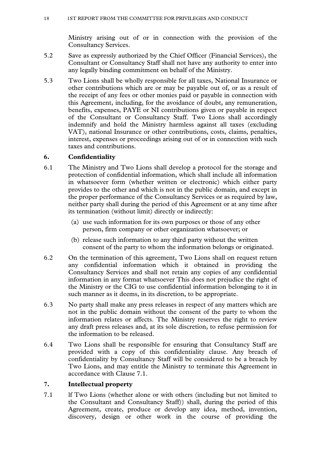Ministry arising out of or in connection with the provision of the Consultancy Services.

- 5.2 Save as expressly authorized by the Chief Officer (Financial Services), the Consultant or Consultancy Staff shall not have any authority to enter into any legally binding commitment on behalf of the Ministry.
- 5.3 Two Lions shall be wholly responsible for all taxes, National Insurance or other contributions which are or may be payable out of, or as a result of the receipt of any fees or other monies paid or payable in connection with this Agreement, including, for the avoidance of doubt, any remuneration, benefits, expenses, PAYE or NI contributions given or payable in respect of the Consultant or Consultancy Staff. Two Lions shall accordingly indemnify and hold the Ministry harmless against all taxes (excluding VAT), national Insurance or other contributions, costs, claims, penalties, interest, expenses or proceedings arising out of or in connection with such taxes and contributions.

# **6. Confidentiality**

- 6.1 The Ministry and Two Lions shall develop a protocol for the storage and protection of confidential information, which shall include all information in whatsoever form (whether written or electronic) which either party provides to the other and which is not in the public domain, and except in the proper performance of the Consultancy Services or as required by law, neither party shall during the period of this Agreement or at any time after its termination (without limit) directly or indirectly:
	- (a) use such information for its own purposes or those of any other person, firm company or other organization whatsoever; or
	- (b) release such information to any third party without the written consent of the party to whom the information belongs or originated.
- 6.2 On the termination of this agreement, Two Lions shall on request return any confidential information which it obtained in providing the Consultancy Services and shall not retain any copies of any confidential information in any format whatsoever This does not prejudice the right of the Ministry or the CIG to use confidential information belonging to it in such manner as it deems, in its discretion, to be appropriate.
- 6.3 No party shall make any press releases in respect of any matters which are not in the public domain without the consent of the party to whom the information relates or affects. The Ministry reserves the right to review any draft press releases and, at its sole discretion, to refuse permission for the information to be released.
- 6.4 Two Lions shall be responsible for ensuring that Consultancy Staff are provided with a copy of this confidentiality clause. Any breach of confidentiality by Consultancy Staff will be considered to be a breach by Two Lions, and may entitle the Ministry to terminate this Agreement in accordance with Clause 7.1.

# **7. Intellectual property**

7.1 lf Two Lions (whether alone or with others (including but not limited to the Consultant and Consultancy Staff)) shall, during the period of this Agreement, create, produce or develop any idea, method, invention, discovery, design or other work in the course of providing the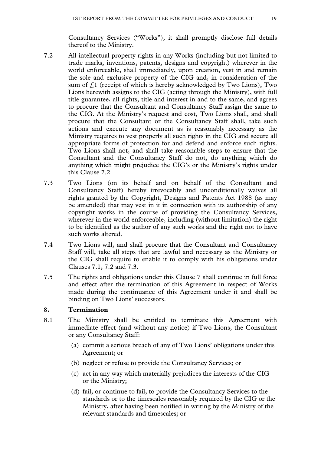Consultancy Services ("Works"), it shall promptly disclose full details thereof to the Ministry.

- 7.2 All intellectual property rights in any Works (including but not limited to trade marks, inventions, patents, designs and copyright) wherever in the world enforceable, shall immediately, upon creation, vest in and remain the sole and exclusive property of the CIG and, in consideration of the sum of  $f<sub>i</sub>$ . (receipt of which is hereby acknowledged by Two Lions), Two Lions herewith assigns to the CIG (acting through the Ministry), with full title guarantee, all rights, title and interest in and to the same, and agrees to procure that the Consultant and Consultancy Staff assign the same to the CIG. At the Ministry's request and cost, Two Lions shall, and shall procure that the Consultant or the Consultancy Staff shall, take such actions and execute any document as is reasonably necessary as the Ministry requires to vest properly all such rights in the CIG and secure all appropriate forms of protection for and defend and enforce such rights. Two Lions shall not, and shall take reasonable steps to ensure that the Consultant and the Consultancy Staff do not, do anything which do anything which might prejudice the CIG's or the Ministry's rights under this Clause 7.2.
- 7.3 Two Lions (on its behalf and on behalf of the Consultant and Consultancy Staff) hereby irrevocably and unconditionally waives all rights granted by the Copyright, Designs and Patents Act 1988 (as may be amended) that may vest in it in connection with its authorship of any copyright works in the course of providing the Consultancy Services, wherever in the world enforceable, including (without limitation) the right to be identified as the author of any such works and the right not to have such works altered.
- 7.4 Two Lions will, and shall procure that the Consultant and Consultancy Staff will, take all steps that are lawful and necessary as the Ministry or the CIG shall require to enable it to comply with his obligations under Clauses 7.1, 7.2 and 7.3.
- 7.5 The rights and obligations under this Clause 7 shall continue in full force and effect after the termination of this Agreement in respect of Works made during the continuance of this Agreement under it and shall be binding on Two Lions' successors.

#### **8. Termination**

- 8.1 The Ministry shall be entitled to terminate this Agreement with immediate effect (and without any notice) if Two Lions, the Consultant or any Consultancy Staff:
	- (a) commit a serious breach of any of Two Lions' obligations under this Agreement; or
	- (b) neglect or refuse to provide the Consultancy Services; or
	- (c) act in any way which materially prejudices the interests of the CIG or the Ministry;
	- (d) fail, or continue to fail, to provide the Consultancy Services to the standards or to the timescales reasonably required by the CIG or the Ministry, after having been notified in writing by the Ministry of the relevant standards and timescales; or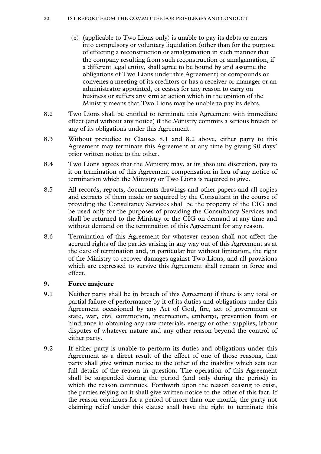- (e) (applicable to Two Lions only) is unable to pay its debts or enters into compulsory or voluntary liquidation (other than for the purpose of effecting a reconstruction or amalgamation in such manner that the company resulting from such reconstruction or amalgamation, if a different legal entity, shall agree to be bound by and assume the obligations of Two Lions under this Agreement) or compounds or convenes a meeting of its creditors or has a receiver or manager or an administrator appointed, or ceases for any reason to carry on business or suffers any similar action which in the opinion of the Ministry means that Two Lions may be unable to pay its debts.
- 8.2 Two Lions shall be entitled to terminate this Agreement with immediate effect (and without any notice) if the Ministry commits a serious breach of any of its obligations under this Agreement.
- 8.3 Without prejudice to Clauses 8.1 and 8.2 above, either party to this Agreement may terminate this Agreement at any time by giving 90 days' prior written notice to the other.
- 8.4 Two Lions agrees that the Ministry may, at its absolute discretion, pay to it on termination of this Agreement compensation in lieu of any notice of termination which the Ministry or Two Lions is required to give.
- 8.5 All records, reports, documents drawings and other papers and all copies and extracts of them made or acquired by the Consultant in the course of providing the Consultancy Services shall be the property of the CIG and be used only for the purposes of providing the Consultancy Services and shall be returned to the Ministry or the CIG on demand at any time and without demand on the termination of this Agreement for any reason.
- 8.6 Termination of this Agreement for whatever reason shall not affect the accrued rights of the parties arising in any way out of this Agreement as at the date of termination and, in particular but without limitation, the right of the Ministry to recover damages against Two Lions, and all provisions which are expressed to survive this Agreement shall remain in force and effect.

#### **9. Force majeure**

- 9.1 Neither party shall be in breach of this Agreement if there is any total or partial failure of performance by it of its duties and obligations under this Agreement occasioned by any Act of God, fire, act of government or state, war, civil commotion, insurrection, embargo, prevention from or hindrance in obtaining any raw materials, energy or other supplies, labour disputes of whatever nature and any other reason beyond the control of either party.
- 9.2 If either party is unable to perform its duties and obligations under this Agreement as a direct result of the effect of one of those reasons, that party shall give written notice to the other of the inability which sets out full details of the reason in question. The operation of this Agreement shall be suspended during the period (and only during the period) in which the reason continues. Forthwith upon the reason ceasing to exist, the parties relying on it shall give written notice to the other of this fact. If the reason continues for a period of more than one month, the party not claiming relief under this clause shall have the right to terminate this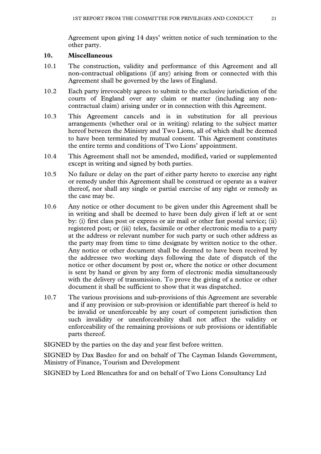Agreement upon giving 14 days' written notice of such termination to the other party.

#### **10. Miscellaneous**

- 10.1 The construction, validity and performance of this Agreement and all non-contractual obligations (if any) arising from or connected with this Agreement shall be governed by the laws of England.
- 10.2 Each party irrevocably agrees to submit to the exclusive jurisdiction of the courts of England over any claim or matter (including any noncontractual claim) arising under or in connection with this Agreement.
- 10.3 This Agreement cancels and is in substitution for all previous arrangements (whether oral or in writing) relating to the subject matter hereof between the Ministry and Two Lions, all of which shall be deemed to have been terminated by mutual consent. This Agreement constitutes the entire terms and conditions of Two Lions' appointment.
- 10.4 This Agreement shall not be amended, modified, varied or supplemented except in writing and signed by both parties.
- 10.5 No failure or delay on the part of either party hereto to exercise any right or remedy under this Agreement shall be construed or operate as a waiver thereof, nor shall any single or partial exercise of any right or remedy as the case may be.
- 10.6 Any notice or other document to be given under this Agreement shall be in writing and shall be deemed to have been duly given if left at or sent by: (i) first class post or express or air mail or other fast postal service; (ii) registered post; or (iii) telex, facsimile or other electronic media to a party at the address or relevant number for such party or such other address as the party may from time to time designate by written notice to the other. Any notice or other document shall be deemed to have been received by the addressee two working days following the date of dispatch of the notice or other document by post or, where the notice or other document is sent by hand or given by any form of electronic media simultaneously with the delivery of transmission. To prove the giving of a notice or other document it shall be sufficient to show that it was dispatched.
- 10.7 The various provisions and sub-provisions of this Agreement are severable and if any provision or sub-provision or identifiable part thereof is held to be invalid or unenforceable by any court of competent jurisdiction then such invalidity or unenforceability shall not affect the validity or enforceability of the remaining provisions or sub provisions or identifiable parts thereof.

SIGNED by the parties on the day and year first before written.

SIGNED by Dax Basdeo for and on behalf of The Cayman Islands Government, Ministry of Finance, Tourism and Development

SIGNED by Lord Blencathra for and on behalf of Two Lions Consultancy Ltd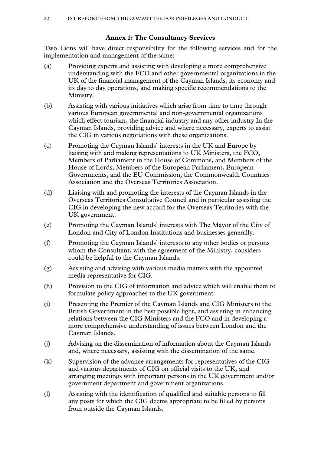# **Annex 1: The Consultancy Services**

Two Lions will have direct responsibility for the following services and for the implementation and management of the same:

- (a) Providing experts and assisting with developing a more comprehensive understanding with the FCO and other governmental organizations in the UK of the financial management of the Cayman Islands, its economy and its day to day operations, and making specific recommendations to the Ministry.
- (b) Assisting with various initiatives which arise from time to time through various European governmental and non-governmental organizations which effect tourism, the financial industry and any other industry In the Cayman Islands, providing advice and where necessary, experts to assist the CIG in various negotiations with these organizations.
- (c) Promoting the Cayman Islands' interests in the UK and Europe by liaising with and making representations to UK Ministers, the FCO, Members of Parliament in the House of Commons, and Members of the House of Lords, Members of the European Parliament, European Governments, and the EU Commission, the Commonwealth Countries Association and the Overseas Territories Association.
- (d) Liaising with and promoting the interests of the Cayman Islands in the Overseas Territories Consultative Council and in particular assisting the CIG in developing the new accord for the Overseas Territories with the UK government.
- (e) Promoting the Cayman Islands' interests with The Mayor of the City of London and City of London Institutions and businesses generally.
- (f) Promoting the Cayman Islands' interests to any other bodies or persons whom the Consultant, with the agreement of the Ministry, considers could be helpful to the Cayman Islands.
- (g) Assisting and advising with various media matters with the appointed media representative for CIG.
- (h) Provision to the CIG of information and advice which will enable them to formulate policy approaches to the UK government.
- (i) Presenting the Premier of the Cayman Islands and CIG Ministers to the British Government in the best possible light, and assisting in enhancing relations between the CIG Ministers and the FCO and in developing a more comprehensive understanding of issues between London and the Cayman Islands.
- (j) Advising on the dissemination of information about the Cayman Islands and, where necessary, assisting with the dissemination of the same.
- (k) Supervision of the advance arrangements for representatives of the CIG and various departments of CIG on official visits to the UK, and arranging meetings with important persons in the UK government and/or government department and government organizations.
- (l) Assisting with the identification of qualified and suitable persons to fill any posts for which the CIG deems appropriate to be filled by persons from outside the Cayman Islands.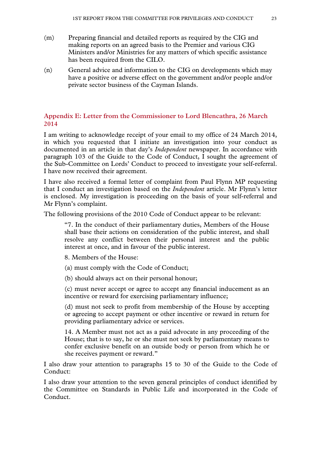- (m) Preparing financial and detailed reports as required by the CIG and making reports on an agreed basis to the Premier and various CIG Ministers and/or Ministries for any matters of which specific assistance has been required from the CILO.
- (n) General advice and information to the CIG on developments which may have a positive or adverse effect on the government and/or people and/or private sector business of the Cayman Islands.

# **Appendix E: Letter from the Commissioner to Lord Blencathra, 26 March 2014**

I am writing to acknowledge receipt of your email to my office of 24 March 2014, in which you requested that I initiate an investigation into your conduct as documented in an article in that day's *Independent* newspaper. In accordance with paragraph 103 of the Guide to the Code of Conduct, I sought the agreement of the Sub-Committee on Lords' Conduct to proceed to investigate your self-referral. I have now received their agreement.

I have also received a formal letter of complaint from Paul Flynn MP requesting that I conduct an investigation based on the *Independent* article. Mr Flynn's letter is enclosed. My investigation is proceeding on the basis of your self-referral and Mr Flynn's complaint.

The following provisions of the 2010 Code of Conduct appear to be relevant:

"7. In the conduct of their parliamentary duties, Members of the House shall base their actions on consideration of the public interest, and shall resolve any conflict between their personal interest and the public interest at once, and in favour of the public interest.

- 8. Members of the House:
- (a) must comply with the Code of Conduct;
- (b) should always act on their personal honour;

(c) must never accept or agree to accept any financial inducement as an incentive or reward for exercising parliamentary influence;

(d) must not seek to profit from membership of the House by accepting or agreeing to accept payment or other incentive or reward in return for providing parliamentary advice or services.

14. A Member must not act as a paid advocate in any proceeding of the House; that is to say, he or she must not seek by parliamentary means to confer exclusive benefit on an outside body or person from which he or she receives payment or reward."

I also draw your attention to paragraphs 15 to 30 of the Guide to the Code of Conduct:

I also draw your attention to the seven general principles of conduct identified by the Committee on Standards in Public Life and incorporated in the Code of Conduct.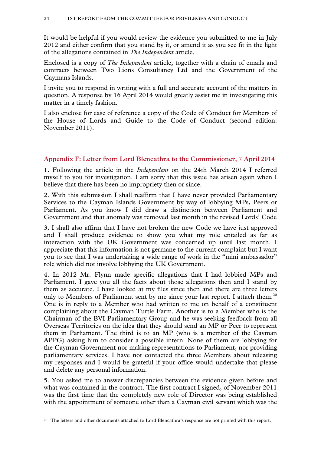It would be helpful if you would review the evidence you submitted to me in July 2012 and either confirm that you stand by it, or amend it as you see fit in the light of the allegations contained in *The Independent* article.

Enclosed is a copy of *The Independent* article, together with a chain of emails and contracts between Two Lions Consultancy Ltd and the Government of the Caymans Islands.

I invite you to respond in writing with a full and accurate account of the matters in question. A response by 16 April 2014 would greatly assist me in investigating this matter in a timely fashion.

I also enclose for ease of reference a copy of the Code of Conduct for Members of the House of Lords and Guide to the Code of Conduct (second edition: November 2011).

#### **Appendix F: Letter from Lord Blencathra to the Commissioner, 7 April 2014**

1. Following the article in the *Independent* on the 24th March 2014 I referred myself to you for investigation. I am sorry that this issue has arisen again when I believe that there has been no impropriety then or since.

2. With this submission I shall reaffirm that I have never provided Parliamentary Services to the Cayman Islands Government by way of lobbying MPs, Peers or Parliament. As you know I did draw a distinction between Parliament and Government and that anomaly was removed last month in the revised Lords' Code

3. I shall also affirm that I have not broken the new Code we have just approved and I shall produce evidence to show you what my role entailed as far as interaction with the UK Government was concerned up until last month. I appreciate that this information is not germane to the current complaint but I want you to see that I was undertaking a wide range of work in the "mini ambassador" role which did not involve lobbying the UK Government.

4. In 2012 Mr. Flynn made specific allegations that I had lobbied MPs and Parliament. I gave you all the facts about those allegations then and I stand by them as accurate. I have looked at my files since then and there are three letters only to Members of Parliament sent by me since your last report. I attach them.<sup>20</sup> One is in reply to a Member who had written to me on behalf of a constituent complaining about the Cayman Turtle Farm. Another is to a Member who is the Chairman of the BVI Parliamentary Group and he was seeking feedback from all Overseas Territories on the idea that they should send an MP or Peer to represent them in Parliament. The third is to an MP (who is a member of the Cayman APPG) asking him to consider a possible intern. None of them are lobbying for the Cayman Government nor making representations to Parliament, nor providing parliamentary services. I have not contacted the three Members about releasing my responses and I would be grateful if your office would undertake that please and delete any personal information.

5. You asked me to answer discrepancies between the evidence given before and what was contained in the contract. The first contract I signed, of November 2011 was the first time that the completely new role of Director was being established with the appointment of someone other than a Cayman civil servant which was the

<sup>&</sup>lt;sup>20</sup> The letters and other documents attached to Lord Blencathra's response are not printed with this report.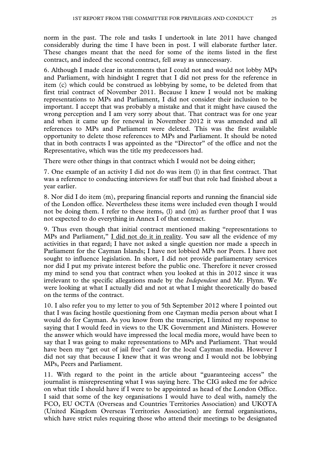norm in the past. The role and tasks I undertook in late 2011 have changed considerably during the time I have been in post. I will elaborate further later. These changes meant that the need for some of the items listed in the first contract, and indeed the second contract, fell away as unnecessary.

6. Although I made clear in statements that I could not and would not lobby MPs and Parliament, with hindsight I regret that I did not press for the reference in item (c) which could be construed as lobbying by some, to be deleted from that first trial contract of November 2011. Because I knew I would not be making representations to MPs and Parliament, I did not consider their inclusion to be important. I accept that was probably a mistake and that it might have caused the wrong perception and I am very sorry about that. That contract was for one year and when it came up for renewal in November 2012 it was amended and all references to MPs and Parliament were deleted. This was the first available opportunity to delete those references to MPs and Parliament. It should be noted that in both contracts I was appointed as the "Director" of the office and not the Representative, which was the title my predecessors had.

There were other things in that contract which I would not be doing either;

7. One example of an activity I did not do was item (l) in that first contract. That was a reference to conducting interviews for staff but that role had finished about a year earlier.

8. Nor did I do item (m), preparing financial reports and running the financial side of the London office. Nevertheless these items were included even though I would not be doing them. I refer to these items, (l) and (m) as further proof that I was not expected to do everything in Annex I of that contract.

9. Thus even though that initial contract mentioned making "representations to MPs and Parliament," I did not do it in reality. You saw all the evidence of my activities in that regard; I have not asked a single question nor made a speech in Parliament for the Cayman Islands; I have not lobbied MPs nor Peers. I have not sought to influence legislation. In short, I did not provide parliamentary services nor did I put my private interest before the public one. Therefore it never crossed my mind to send you that contract when you looked at this in 2012 since it was irrelevant to the specific allegations made by the *Independent* and Mr. Flynn. We were looking at what I actually did and not at what I might theoretically do based on the terms of the contract.

10. I also refer you to my letter to you of 5th September 2012 where I pointed out that I was facing hostile questioning from one Cayman media person about what I would do for Cayman. As you know from the transcript, I limited my response to saying that I would feed in views to the UK Government and Ministers. However the answer which would have impressed the local media more, would have been to say that I was going to make representations to MPs and Parliament. That would have been my "get out of jail free" card for the local Cayman media. However I did not say that because I knew that it was wrong and I would not be lobbying MPs, Peers and Parliament.

11. With regard to the point in the article about "guaranteeing access" the journalist is misrepresenting what I was saying here. The CIG asked me for advice on what title I should have if I were to be appointed as head of the London Office. I said that some of the key organisations I would have to deal with, namely the FCO, EU OCTA (Overseas and Countries Territories Association) and UKOTA (United Kingdom Overseas Territories Association) are formal organisations, which have strict rules requiring those who attend their meetings to be designated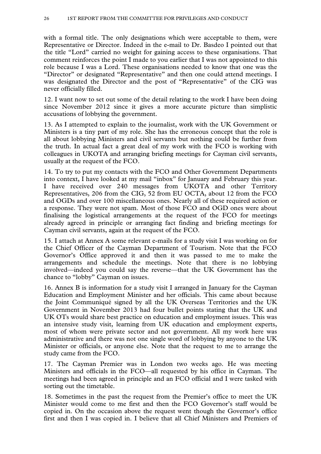with a formal title. The only designations which were acceptable to them, were Representative or Director. Indeed in the e-mail to Dr. Basdeo I pointed out that the title "Lord" carried no weight for gaining access to these organisations. That comment reinforces the point I made to you earlier that I was not appointed to this role because I was a Lord. These organisations needed to know that one was the "Director" or designated "Representative" and then one could attend meetings. I was designated the Director and the post of "Representative" of the CIG was never officially filled.

12. I want now to set out some of the detail relating to the work I have been doing since November 2012 since it gives a more accurate picture than simplistic accusations of lobbying the government.

13. As I attempted to explain to the journalist, work with the UK Government or Ministers is a tiny part of my role. She has the erroneous concept that the role is all about lobbying Ministers and civil servants but nothing could be further from the truth. In actual fact a great deal of my work with the FCO is working with colleagues in UKOTA and arranging briefing meetings for Cayman civil servants, usually at the request of the FCO.

14. To try to put my contacts with the FCO and Other Government Departments into context, I have looked at my mail "inbox" for January and February this year. I have received over 240 messages from UKOTA and other Territory Representatives, 206 from the CIG, 52 from EU OCTA, about 12 from the FCO and OGDs and over 100 miscellaneous ones. Nearly all of these required action or a response. They were not spam. Most of those FCO and OGD ones were about finalising the logistical arrangements at the request of the FCO for meetings already agreed in principle or arranging fact finding and briefing meetings for Cayman civil servants, again at the request of the FCO.

15. I attach at Annex A some relevant e-mails for a study visit I was working on for the Chief Officer of the Cayman Department of Tourism. Note that the FCO Governor's Office approved it and then it was passed to me to make the arrangements and schedule the meetings. Note that there is no lobbying involved—indeed you could say the reverse—that the UK Government has the chance to "lobby" Cayman on issues.

16. Annex B is information for a study visit I arranged in January for the Cayman Education and Employment Minister and her officials. This came about because the Joint Communiqué signed by all the UK Overseas Territories and the UK Government in November 2013 had four bullet points stating that the UK and UK OTs would share best practice on education and employment issues. This was an intensive study visit, learning from UK education and employment experts, most of whom were private sector and not government. All my work here was administrative and there was not one single word of lobbying by anyone to the UK Minister or officials, or anyone else. Note that the request to me to arrange the study came from the FCO.

17. The Cayman Premier was in London two weeks ago. He was meeting Ministers and officials in the FCO—all requested by his office in Cayman. The meetings had been agreed in principle and an FCO official and I were tasked with sorting out the timetable.

18. Sometimes in the past the request from the Premier's office to meet the UK Minister would come to me first and then the FCO Governor's staff would be copied in. On the occasion above the request went though the Governor's office first and then I was copied in. I believe that all Chief Ministers and Premiers of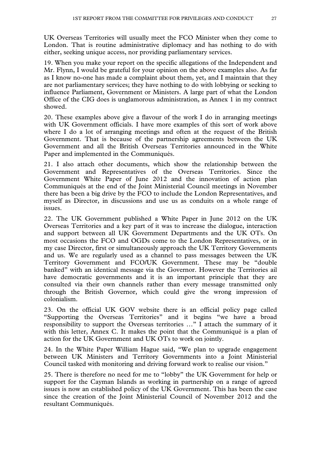UK Overseas Territories will usually meet the FCO Minister when they come to London. That is routine administrative diplomacy and has nothing to do with either, seeking unique access, nor providing parliamentary services.

19. When you make your report on the specific allegations of the Independent and Mr. Flynn, I would be grateful for your opinion on the above examples also. As far as I know no-one has made a complaint about them, yet, and I maintain that they are not parliamentary services; they have nothing to do with lobbying or seeking to influence Parliament, Government or Ministers. A large part of what the London Office of the CIG does is unglamorous administration, as Annex 1 in my contract showed.

20. These examples above give a flavour of the work I do in arranging meetings with UK Government officials. I have more examples of this sort of work above where I do a lot of arranging meetings and often at the request of the British Government. That is because of the partnership agreements between the UK Government and all the British Overseas Territories announced in the White Paper and implemented in the Communiqués.

21. I also attach other documents, which show the relationship between the Government and Representatives of the Overseas Territories. Since the Government White Paper of June 2012 and the innovation of action plan Communiqués at the end of the Joint Ministerial Council meetings in November there has been a big drive by the FCO to include the London Representatives, and myself as Director, in discussions and use us as conduits on a whole range of issues.

22. The UK Government published a White Paper in June 2012 on the UK Overseas Territories and a key part of it was to increase the dialogue, interaction and support between all UK Government Departments and the UK OTs. On most occasions the FCO and OGDs come to the London Representatives, or in my case Director, first or simultaneously approach the UK Territory Governments and us. We are regularly used as a channel to pass messages between the UK Territory Government and FCO/UK Government. These may be "double banked" with an identical message via the Governor. However the Territories ail have democratic governments and it is an important principle that they are consulted via their own channels rather than every message transmitted only through the British Governor, which could give the wrong impression of colonialism.

23. On the official UK GOV website there is an official policy page called "Supporting the Overseas Territories" and it begins "we have a broad responsibility to support the Overseas territories …" I attach the summary of it with this letter, Annex C. It makes the point that the Communiqué is a plan of action for the UK Government and UK OTs to work on jointly.

24. In the White Paper William Hague said, "We plan to upgrade engagement between UK Ministers and Territory Governments into a Joint Ministerial Council tasked with monitoring and driving forward work to realise our vision."

25. There is therefore no need for me to "lobby" the UK Government for help or support for the Cayman Islands as working in partnership on a range of agreed issues is now an established policy of the UK Government. This has been the case since the creation of the Joint Ministerial Council of November 2012 and the resultant Communiqués.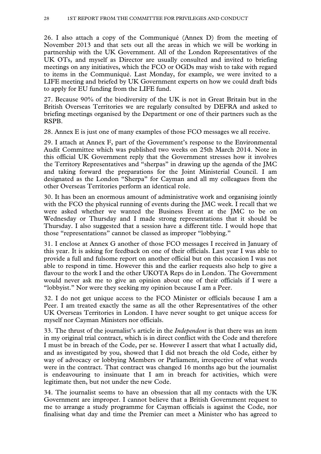26. I also attach a copy of the Communiqué (Annex D) from the meeting of November 2013 and that sets out all the areas in which we will be working in partnership with the UK Government. All of the London Representatives of the UK OTs, and myself as Director are usually consulted and invited to briefing meetings on any initiatives, which the FCO or OGDs may wish to take with regard to items in the Communiqué. Last Monday, for example, we were invited to a LIFE meeting and briefed by UK Government experts on how we could draft bids to apply for EU funding from the LIFE fund.

27. Because 90% of the biodiversity of the UK is not in Great Britain but in the British Overseas Territories we are regularly consulted by DEFRA and asked to briefing meetings organised by the Department or one of their partners such as the RSPB.

28. Annex E is just one of many examples of those FCO messages we all receive.

29. I attach at Annex F, part of the Government's response to the Environmental Audit Committee which was published two weeks on 25th March 2014. Note in this official UK Government reply that the Government stresses how it involves the Territory Representatives and "sherpas" in drawing up the agenda of the JMC and taking forward the preparations for the Joint Ministerial Council. I am designated as the London "Sherpa" for Cayman and all my colleagues from the other Overseas Territories perform an identical role.

30. It has been an enormous amount of administrative work and organising jointly with the FCO the physical running of events during the JMC week. I recall that we were asked whether we wanted the Business Event at the JMC to be on Wednesday or Thursday and I made strong representations that it should be Thursday. I also suggested that a session have a different title. I would hope that those "representations" cannot be classed as improper "lobbying."

31. I enclose at Annex G another of those FCO messages I received in January of this year. It is asking for feedback on one of their officials. Last year I was able to provide a full and fulsome report on another official but on this occasion I was not able to respond in time. However this and the earlier requests also help to give a flavour to the work I and the other UKOTA Reps do in London. The Government would never ask me to give an opinion about one of their officials if I were a "lobbyist." Nor were they seeking my opinion because I am a Peer.

32. I do not get unique access to the FCO Minister or officials because I am a Peer. I am treated exactly the same as all the other Representatives of the other UK Overseas Territories in London. I have never sought to get unique access for myself nor Cayman Ministers nor officials.

33. The thrust of the journalist's article in the *Independent* is that there was an item in my original trial contract, which is in direct conflict with the Code and therefore I must be in breach of the Code, per se. However I assert that what I actually did, and as investigated by you, showed that I did not breach the old Code, either by way of advocacy or lobbying Members or Parliament, irrespective of what words were in the contract. That contract was changed 16 months ago but the journalist is endeavouring to insinuate that I am in breach for activities, which were legitimate then, but not under the new Code.

34. The journalist seems to have an obsession that all my contacts with the UK Government are improper. I cannot believe that a British Government request to me to arrange a study programme for Cayman officials is against the Code, nor finalising what day and time the Premier can meet a Minister who has agreed to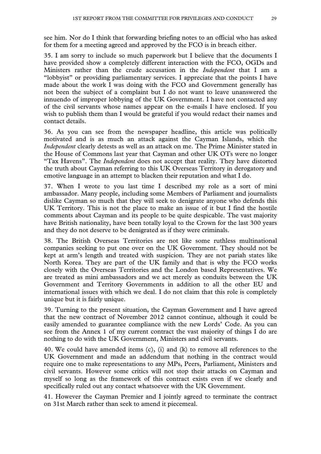see him. Nor do I think that forwarding briefing notes to an official who has asked for them for a meeting agreed and approved by the FCO is in breach either.

35. I am sorry to include so much paperwork but I believe that the documents I have provided show a completely different interaction with the FCO, OGDs and Ministers rather than the crude accusation in the *Independent* that I am a "lobbyist" or providing parliamentary services. I appreciate that the points I have made about the work I was doing with the FCO and Government generally has not been the subject of a complaint but I do not want to leave unanswered the innuendo of improper lobbying of the UK Government. I have not contacted any of the civil servants whose names appear on the e-mails I have enclosed. If you wish to publish them than I would be grateful if you would redact their names and contact details.

36. As you can see from the newspaper headline, this article was politically motivated and is as much an attack against the Cayman Islands, which the *Independent* clearly detests as well as an attack on me. The Prime Minister stated in the House of Commons last year that Cayman and other UK OTs were no longer "Tax Havens". The *Independent* does not accept that reality. They have distorted the truth about Cayman referring to this UK Overseas Territory in derogatory and emotive language in an attempt to blacken their reputation and what I do.

37. When I wrote to you last time I described my role as a sort of mini ambassador. Many people, including some Members of Parliament and journalists dislike Cayman so much that they will seek to denigrate anyone who defends this UK Territory. This is not the place to make an issue of it but I find the hostile comments about Cayman and its people to be quite despicable. The vast majority have British nationality, have been totally loyal to the Crown for the last 300 years and they do not deserve to be denigrated as if they were criminals.

38. The British Overseas Territories are not like some ruthless multinational companies seeking to put one over on the UK Government. They should not be kept at arm's length and treated with suspicion. They are not pariah states like North Korea. They are part of the UK family and that is why the FCO works closely with the Overseas Territories and the London based Representatives. We are treated as mini ambassadors and we act merely as conduits between the UK Government and Territory Governments in addition to all the other EU and international issues with which we deal. I do not claim that this role is completely unique but it is fairly unique.

39. Turning to the present situation, the Cayman Government and I have agreed that the new contract of November 2012 cannot continue, although it could be easily amended to guarantee compliance with the new Lords' Code. As you can see from the Annex 1 of my current contract the vast majority of things I do are nothing to do with the UK Government, Ministers and civil servants.

40. We could have amended items (c), (i) and (k) to remove all references to the UK Government and made an addendum that nothing in the contract would require one to make representations to any MPs, Peers, Parliament, Ministers and civil servants. However some critics will not stop their attacks on Cayman and myself so long as the framework of this contract exists even if we clearly and specifically ruled out any contact whatsoever with the UK Government.

41. However the Cayman Premier and I jointly agreed to terminate the contract on 31st March rather than seek to amend it piecemeal.